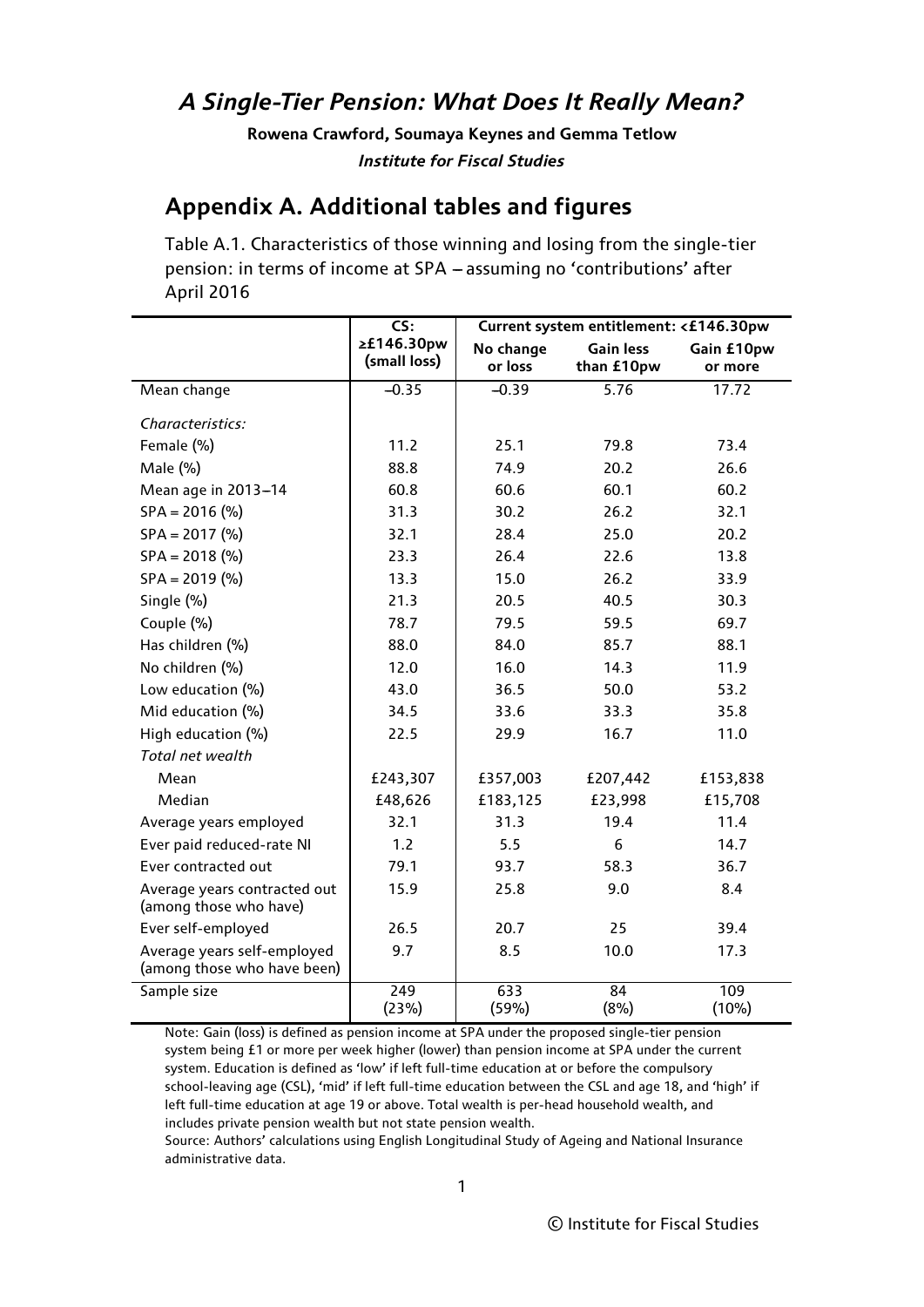## *A Single-Tier Pension: What Does It Really Mean?*

**Rowena Crawford, Soumaya Keynes and Gemma Tetlow** *Institute for Fiscal Studies*

### **Appendix A. Additional tables and figures**

Table A.1. Characteristics of those winning and losing from the single-tier pension: in terms of income at SPA - assuming no 'contributions' after April 2016

|                                                            | CS:                        | Current system entitlement: <£146.30pw |                  |              |  |
|------------------------------------------------------------|----------------------------|----------------------------------------|------------------|--------------|--|
|                                                            | ≥£146.30pw<br>(small loss) | No change                              | <b>Gain less</b> | Gain £10pw   |  |
|                                                            |                            | or loss                                | than £10pw       | or more      |  |
| Mean change                                                | $-0.35$                    | $-0.39$                                | 5.76             | 17.72        |  |
| Characteristics:                                           |                            |                                        |                  |              |  |
| Female (%)                                                 | 11.2                       | 25.1                                   | 79.8             | 73.4         |  |
| Male (%)                                                   | 88.8                       | 74.9                                   | 20.2             | 26.6         |  |
| Mean age in 2013-14                                        | 60.8                       | 60.6                                   | 60.1             | 60.2         |  |
| $SPA = 2016$ (%)                                           | 31.3                       | 30.2                                   | 26.2             | 32.1         |  |
| $SPA = 2017$ (%)                                           | 32.1                       | 28.4                                   | 25.0             | 20.2         |  |
| $SPA = 2018$ (%)                                           | 23.3                       | 26.4                                   | 22.6             | 13.8         |  |
| $SPA = 2019$ (%)                                           | 13.3                       | 15.0                                   | 26.2             | 33.9         |  |
| Single (%)                                                 | 21.3                       | 20.5                                   | 40.5             | 30.3         |  |
| Couple (%)                                                 | 78.7                       | 79.5                                   | 59.5             | 69.7         |  |
| Has children (%)                                           | 88.0                       | 84.0                                   | 85.7             | 88.1         |  |
| No children (%)                                            | 12.0                       | 16.0                                   | 14.3             | 11.9         |  |
| Low education (%)                                          | 43.0                       | 36.5                                   | 50.0             | 53.2         |  |
| Mid education (%)                                          | 34.5                       | 33.6                                   | 33.3             | 35.8         |  |
| High education (%)                                         | 22.5                       | 29.9                                   | 16.7             | 11.0         |  |
| Total net wealth                                           |                            |                                        |                  |              |  |
| Mean                                                       | £243,307                   | £357,003                               | £207,442         | £153,838     |  |
| Median                                                     | £48,626                    | £183,125                               | £23,998          | £15,708      |  |
| Average years employed                                     | 32.1                       | 31.3                                   | 19.4             | 11.4         |  |
| Ever paid reduced-rate NI                                  | 1.2                        | 5.5                                    | 6                | 14.7         |  |
| Ever contracted out                                        | 79.1                       | 93.7                                   | 58.3             | 36.7         |  |
| Average years contracted out<br>(among those who have)     | 15.9                       | 25.8                                   | 9.0              | 8.4          |  |
| Ever self-employed                                         | 26.5                       | 20.7                                   | 25               | 39.4         |  |
| Average years self-employed<br>(among those who have been) | 9.7                        | 8.5                                    | 10.0             | 17.3         |  |
| Sample size                                                | $\overline{249}$<br>(23%)  | 633<br>(59%)                           | 84<br>(8%)       | 109<br>(10%) |  |

Note: Gain (loss) is defined as pension income at SPA under the proposed single-tier pension system being £1 or more per week higher (lower) than pension income at SPA under the current system. Education is defined as 'low' if left full-time education at or before the compulsory school-leaving age (CSL), 'mid' if left full-time education between the CSL and age 18, and 'high' if left full-time education at age 19 or above. Total wealth is per-head household wealth, and includes private pension wealth but not state pension wealth.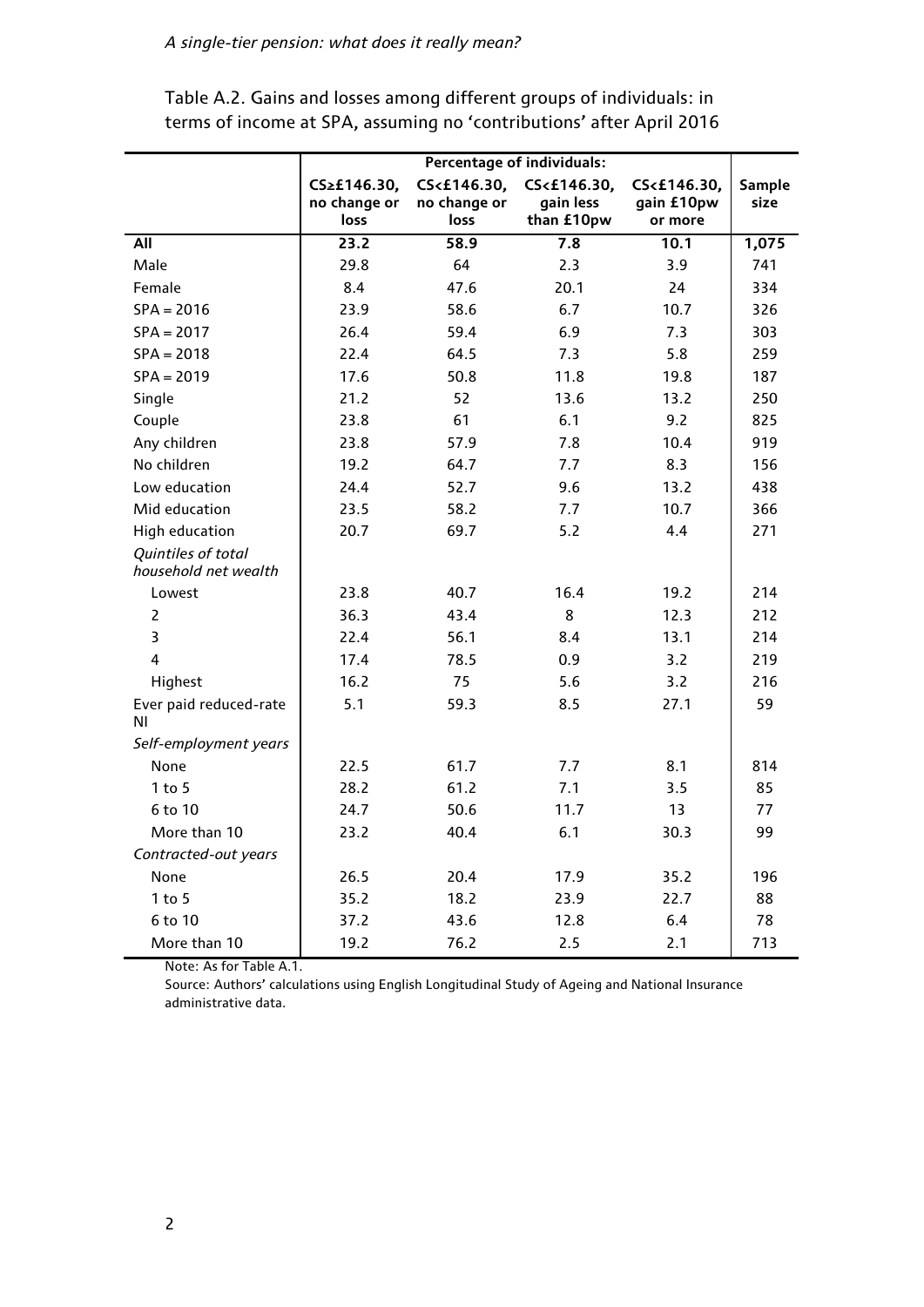|                                            | <b>Percentage of individuals:</b>   |                                     |                                        |                                      |                       |
|--------------------------------------------|-------------------------------------|-------------------------------------|----------------------------------------|--------------------------------------|-----------------------|
|                                            | CS≥£146.30,<br>no change or<br>loss | CS<£146.30,<br>no change or<br>loss | CS<£146.30,<br>gain less<br>than £10pw | CS<£146.30,<br>gain £10pw<br>or more | <b>Sample</b><br>size |
| All                                        | 23.2                                | 58.9                                | 7.8                                    | 10.1                                 | 1,075                 |
| Male                                       | 29.8                                | 64                                  | 2.3                                    | 3.9                                  | 741                   |
| Female                                     | 8.4                                 | 47.6                                | 20.1                                   | 24                                   | 334                   |
| $SPA = 2016$                               | 23.9                                | 58.6                                | 6.7                                    | 10.7                                 | 326                   |
| $SPA = 2017$                               | 26.4                                | 59.4                                | 6.9                                    | 7.3                                  | 303                   |
| $SPA = 2018$                               | 22.4                                | 64.5                                | 7.3                                    | 5.8                                  | 259                   |
| $SPA = 2019$                               | 17.6                                | 50.8                                | 11.8                                   | 19.8                                 | 187                   |
| Single                                     | 21.2                                | 52                                  | 13.6                                   | 13.2                                 | 250                   |
| Couple                                     | 23.8                                | 61                                  | 6.1                                    | 9.2                                  | 825                   |
| Any children                               | 23.8                                | 57.9                                | 7.8                                    | 10.4                                 | 919                   |
| No children                                | 19.2                                | 64.7                                | 7.7                                    | 8.3                                  | 156                   |
| Low education                              | 24.4                                | 52.7                                | 9.6                                    | 13.2                                 | 438                   |
| Mid education                              | 23.5                                | 58.2                                | 7.7                                    | 10.7                                 | 366                   |
| <b>High education</b>                      | 20.7                                | 69.7                                | 5.2                                    | 4.4                                  | 271                   |
| Quintiles of total<br>household net wealth |                                     |                                     |                                        |                                      |                       |
| Lowest                                     | 23.8                                | 40.7                                | 16.4                                   | 19.2                                 | 214                   |
| $\overline{2}$                             | 36.3                                | 43.4                                | 8                                      | 12.3                                 | 212                   |
| $\overline{\mathbf{3}}$                    | 22.4                                | 56.1                                | 8.4                                    | 13.1                                 | 214                   |
| 4                                          | 17.4                                | 78.5                                | 0.9                                    | 3.2                                  | 219                   |
| Highest                                    | 16.2                                | 75                                  | 5.6                                    | 3.2                                  | 216                   |
| Ever paid reduced-rate<br>ΝI               | 5.1                                 | 59.3                                | 8.5                                    | 27.1                                 | 59                    |
| Self-employment years                      |                                     |                                     |                                        |                                      |                       |
| None                                       | 22.5                                | 61.7                                | 7.7                                    | 8.1                                  | 814                   |
| $1$ to $5$                                 | 28.2                                | 61.2                                | 7.1                                    | 3.5                                  | 85                    |
| 6 to 10                                    | 24.7                                | 50.6                                | 11.7                                   | 13                                   | 77                    |
| More than 10                               | 23.2                                | 40.4                                | 6.1                                    | 30.3                                 | 99                    |
| Contracted-out years                       |                                     |                                     |                                        |                                      |                       |
| None                                       | 26.5                                | 20.4                                | 17.9                                   | 35.2                                 | 196                   |
| $1$ to 5                                   | 35.2                                | 18.2                                | 23.9                                   | 22.7                                 | 88                    |
| 6 to 10                                    | 37.2                                | 43.6                                | 12.8                                   | 6.4                                  | 78                    |
| More than 10                               | 19.2                                | 76.2                                | 2.5                                    | 2.1                                  | 713                   |

Table A.2. Gains and losses among different groups of individuals: in terms of income at SPA, assuming no 'contributions' after April 2016

Note: As for Table A.1.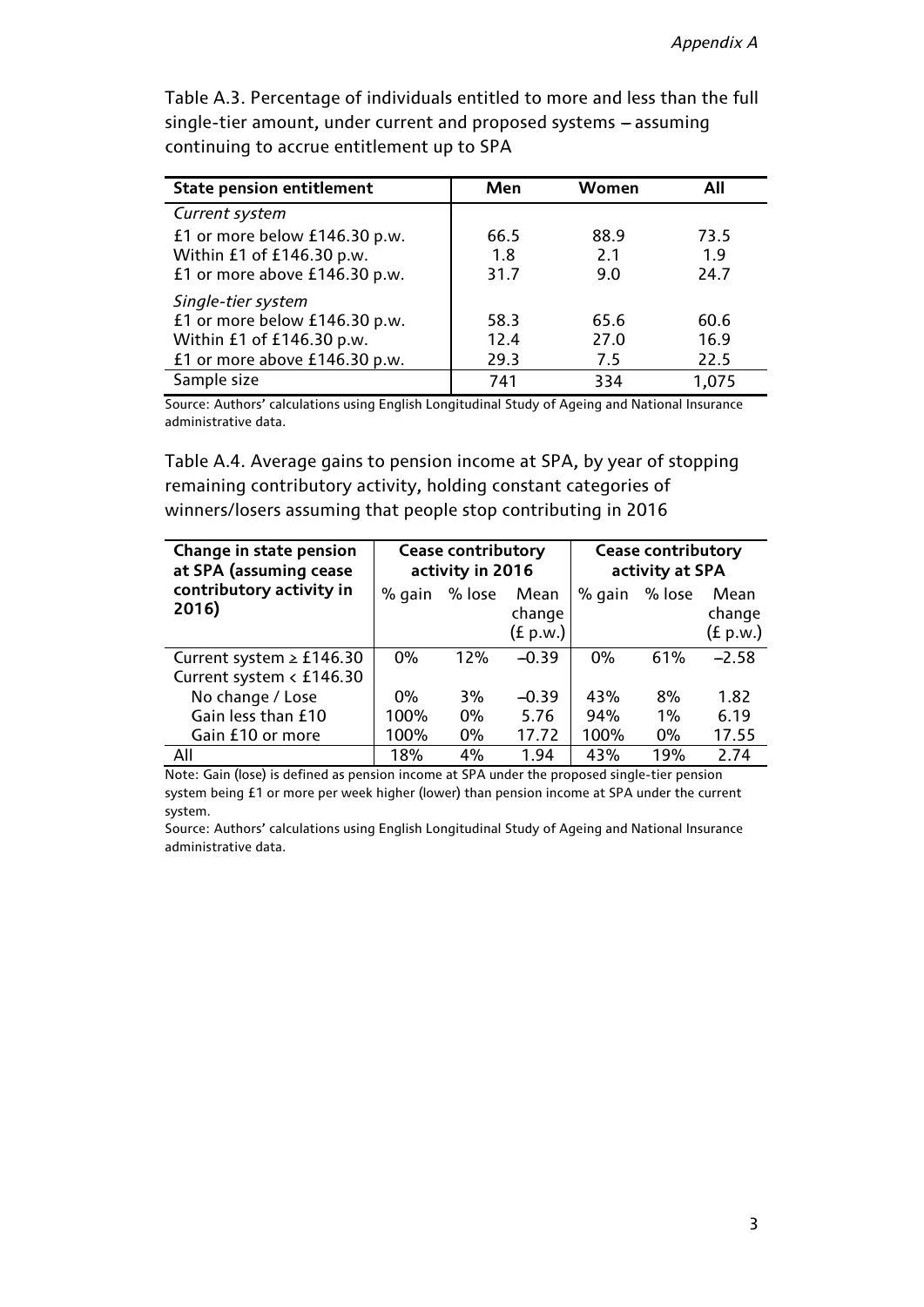| <b>State pension entitlement</b> | Men  | Women | All   |
|----------------------------------|------|-------|-------|
| Current system                   |      |       |       |
| £1 or more below £146.30 p.w.    | 66.5 | 88.9  | 73.5  |
| Within £1 of £146.30 p.w.        | 1.8  | 2.1   | 1.9   |
| £1 or more above £146.30 p.w.    | 31.7 | 9.0   | 24.7  |
| Single-tier system               |      |       |       |
| £1 or more below £146.30 p.w.    | 58.3 | 65.6  | 60.6  |
| Within £1 of £146.30 p.w.        | 12.4 | 27.0  | 16.9  |
| £1 or more above £146.30 p.w.    | 29.3 | 7.5   | 22.5  |
| Sample size                      | 741  | 334   | 1,075 |

Table A.3. Percentage of individuals entitled to more and less than the full single-tier amount, under current and proposed systems - assuming continuing to accrue entitlement up to SPA

Source: Authors' calculations using English Longitudinal Study of Ageing and National Insurance administrative data.

Table A.4. Average gains to pension income at SPA, by year of stopping remaining contributory activity, holding constant categories of winners/losers assuming that people stop contributing in 2016

| Change in state pension<br>at SPA (assuming cease | <b>Cease contributory</b><br>activity in 2016 |        |                            | <b>Cease contributory</b><br>activity at SPA |        |                            |
|---------------------------------------------------|-----------------------------------------------|--------|----------------------------|----------------------------------------------|--------|----------------------------|
| contributory activity in<br>2016)                 | % gain                                        | % lose | Mean<br>change<br>(f p.w.) | % gain                                       | % lose | Mean<br>change<br>(f p.w.) |
| Current system $\ge$ £146.30                      | 0%                                            | 12%    | $-0.39$                    | 0%                                           | 61%    | $-2.58$                    |
| Current system < £146.30                          |                                               |        |                            |                                              |        |                            |
| No change / Lose                                  | $0\%$                                         | 3%     | $-0.39$                    | 43%                                          | 8%     | 1.82                       |
| Gain less than £10                                | 100%                                          | $0\%$  | 5.76                       | 94%                                          | $1\%$  | 6.19                       |
| Gain £10 or more                                  | 100%                                          | $0\%$  | 17.72                      | 100%                                         | $0\%$  | 17.55                      |
| All                                               | 18%                                           | 4%     | 1.94                       | 43%                                          | 19%    | 2.74                       |

Note: Gain (lose) is defined as pension income at SPA under the proposed single-tier pension system being £1 or more per week higher (lower) than pension income at SPA under the current system.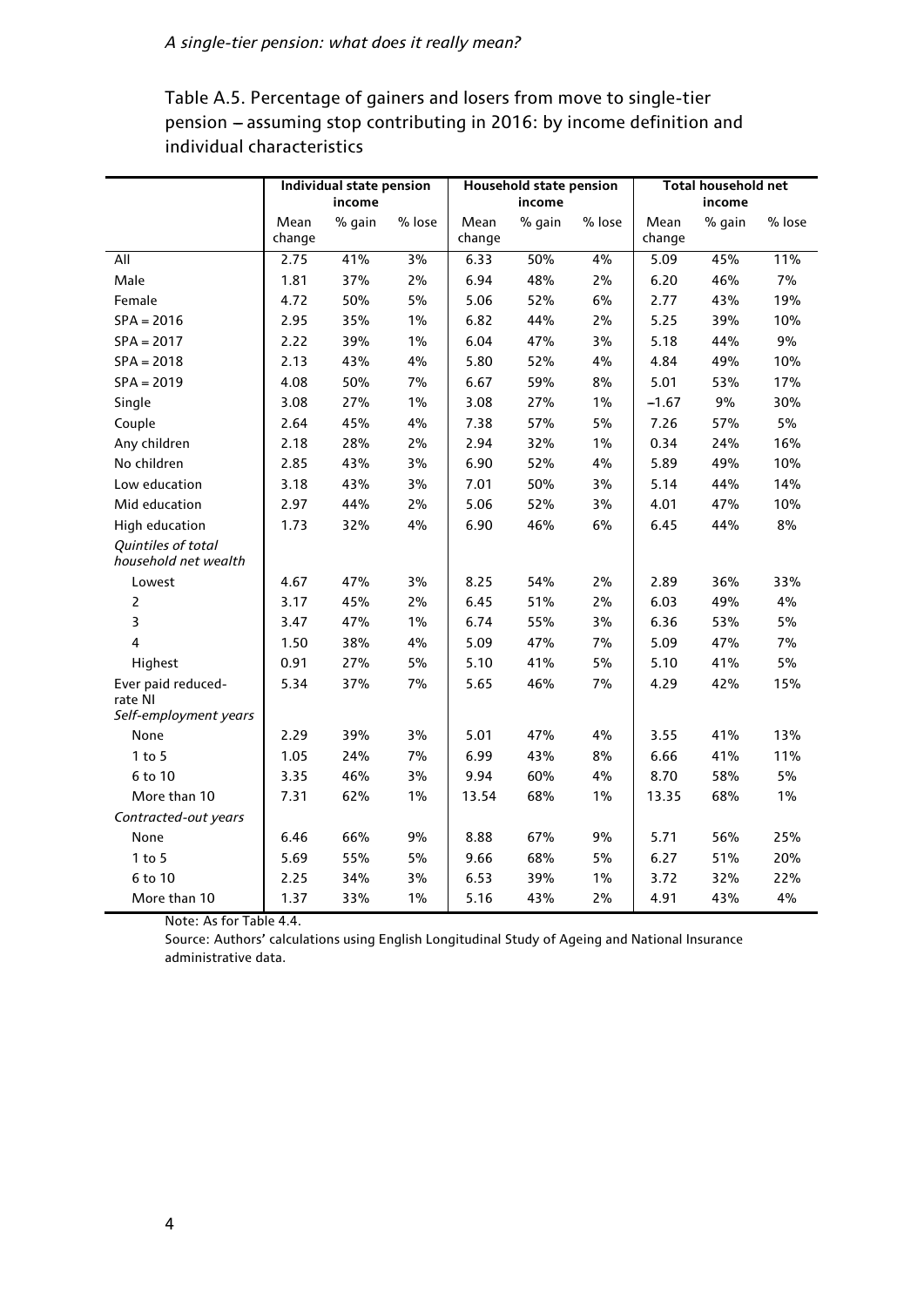|                                            |                | Individual state pension<br>income |        |                | Household state pension<br>income |        |                | Total household net<br>income |        |
|--------------------------------------------|----------------|------------------------------------|--------|----------------|-----------------------------------|--------|----------------|-------------------------------|--------|
|                                            | Mean<br>change | % gain                             | % lose | Mean<br>change | % gain                            | % lose | Mean<br>change | % gain                        | % lose |
| All                                        | 2.75           | 41%                                | 3%     | 6.33           | 50%                               | 4%     | 5.09           | 45%                           | 11%    |
| Male                                       | 1.81           | 37%                                | 2%     | 6.94           | 48%                               | $2\%$  | 6.20           | 46%                           | 7%     |
| Female                                     | 4.72           | 50%                                | 5%     | 5.06           | 52%                               | 6%     | 2.77           | 43%                           | 19%    |
| $SPA = 2016$                               | 2.95           | 35%                                | 1%     | 6.82           | 44%                               | 2%     | 5.25           | 39%                           | 10%    |
| $SPA = 2017$                               | 2.22           | 39%                                | 1%     | 6.04           | 47%                               | 3%     | 5.18           | 44%                           | 9%     |
| $SPA = 2018$                               | 2.13           | 43%                                | 4%     | 5.80           | 52%                               | 4%     | 4.84           | 49%                           | 10%    |
| $SPA = 2019$                               | 4.08           | 50%                                | 7%     | 6.67           | 59%                               | $8\%$  | 5.01           | 53%                           | 17%    |
| Single                                     | 3.08           | 27%                                | 1%     | 3.08           | 27%                               | 1%     | $-1.67$        | 9%                            | 30%    |
| Couple                                     | 2.64           | 45%                                | 4%     | 7.38           | 57%                               | 5%     | 7.26           | 57%                           | 5%     |
| Any children                               | 2.18           | 28%                                | 2%     | 2.94           | 32%                               | 1%     | 0.34           | 24%                           | 16%    |
| No children                                | 2.85           | 43%                                | 3%     | 6.90           | 52%                               | 4%     | 5.89           | 49%                           | 10%    |
| Low education                              | 3.18           | 43%                                | 3%     | 7.01           | 50%                               | 3%     | 5.14           | 44%                           | 14%    |
| Mid education                              | 2.97           | 44%                                | 2%     | 5.06           | 52%                               | 3%     | 4.01           | 47%                           | 10%    |
| <b>High education</b>                      | 1.73           | 32%                                | 4%     | 6.90           | 46%                               | 6%     | 6.45           | 44%                           | 8%     |
| Quintiles of total<br>household net wealth |                |                                    |        |                |                                   |        |                |                               |        |
| Lowest                                     | 4.67           | 47%                                | 3%     | 8.25           | 54%                               | 2%     | 2.89           | 36%                           | 33%    |
| $\overline{2}$                             | 3.17           | 45%                                | 2%     | 6.45           | 51%                               | $2\%$  | 6.03           | 49%                           | 4%     |
| 3                                          | 3.47           | 47%                                | 1%     | 6.74           | 55%                               | 3%     | 6.36           | 53%                           | 5%     |
| 4                                          | 1.50           | 38%                                | 4%     | 5.09           | 47%                               | 7%     | 5.09           | 47%                           | 7%     |
| Highest                                    | 0.91           | 27%                                | 5%     | 5.10           | 41%                               | 5%     | 5.10           | 41%                           | 5%     |
| Ever paid reduced-<br>rate NI              | 5.34           | 37%                                | 7%     | 5.65           | 46%                               | 7%     | 4.29           | 42%                           | 15%    |
| Self-employment years                      |                |                                    |        |                |                                   |        |                |                               |        |
| None                                       | 2.29           | 39%                                | 3%     | 5.01           | 47%                               | 4%     | 3.55           | 41%                           | 13%    |
| $1$ to $5$                                 | 1.05           | 24%                                | 7%     | 6.99           | 43%                               | $8\%$  | 6.66           | 41%                           | 11%    |
| 6 to 10                                    | 3.35           | 46%                                | 3%     | 9.94           | 60%                               | 4%     | 8.70           | 58%                           | 5%     |
| More than 10                               | 7.31           | 62%                                | 1%     | 13.54          | 68%                               | 1%     | 13.35          | 68%                           | 1%     |
| Contracted-out years                       |                |                                    |        |                |                                   |        |                |                               |        |
| None                                       | 6.46           | 66%                                | 9%     | 8.88           | 67%                               | 9%     | 5.71           | 56%                           | 25%    |
| $1$ to $5$                                 | 5.69           | 55%                                | 5%     | 9.66           | 68%                               | 5%     | 6.27           | 51%                           | 20%    |
| 6 to 10                                    | 2.25           | 34%                                | 3%     | 6.53           | 39%                               | 1%     | 3.72           | 32%                           | 22%    |
| More than 10                               | 1.37           | 33%                                | 1%     | 5.16           | 43%                               | 2%     | 4.91           | 43%                           | 4%     |

Table A.5. Percentage of gainers and losers from move to single-tier pension - assuming stop contributing in 2016: by income definition and individual characteristics

Note: As for Table 4.4.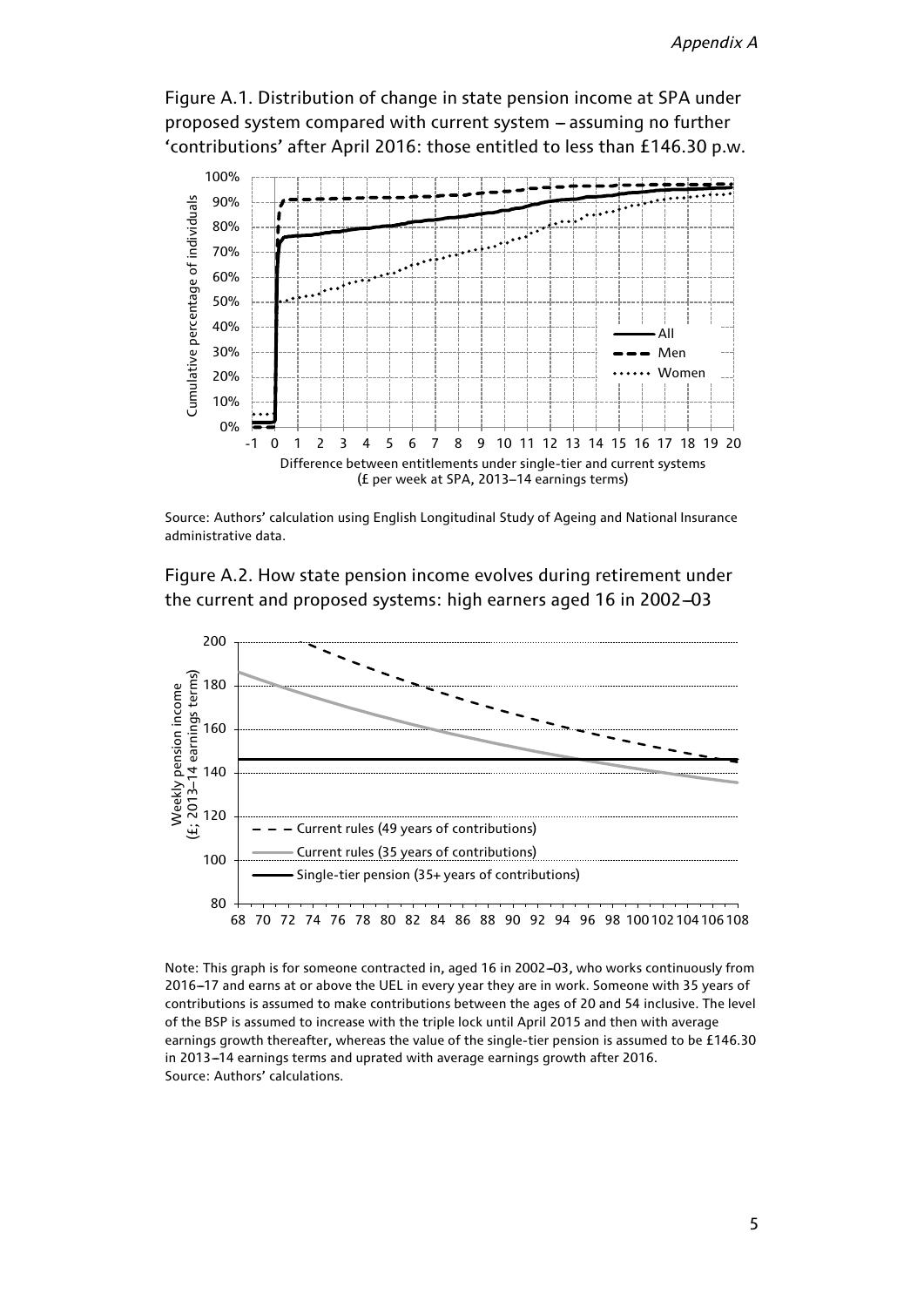Figure A.1. Distribution of change in state pension income at SPA under proposed system compared with current system - assuming no further 'contributions' after April 2016: those entitled to less than £146.30 p.w.



Source: Authors' calculation using English Longitudinal Study of Ageing and National Insurance administrative data.

Figure A.2. How state pension income evolves during retirement under the current and proposed systems: high earners aged 16 in 2002-03



Note: This graph is for someone contracted in, aged 16 in 2002-03, who works continuously from 2016-17 and earns at or above the UEL in every year they are in work. Someone with 35 years of contributions is assumed to make contributions between the ages of 20 and 54 inclusive. The level of the BSP is assumed to increase with the triple lock until April 2015 and then with average earnings growth thereafter, whereas the value of the single-tier pension is assumed to be £146.30 in 2013-14 earnings terms and uprated with average earnings growth after 2016. Source: Authors' calculations.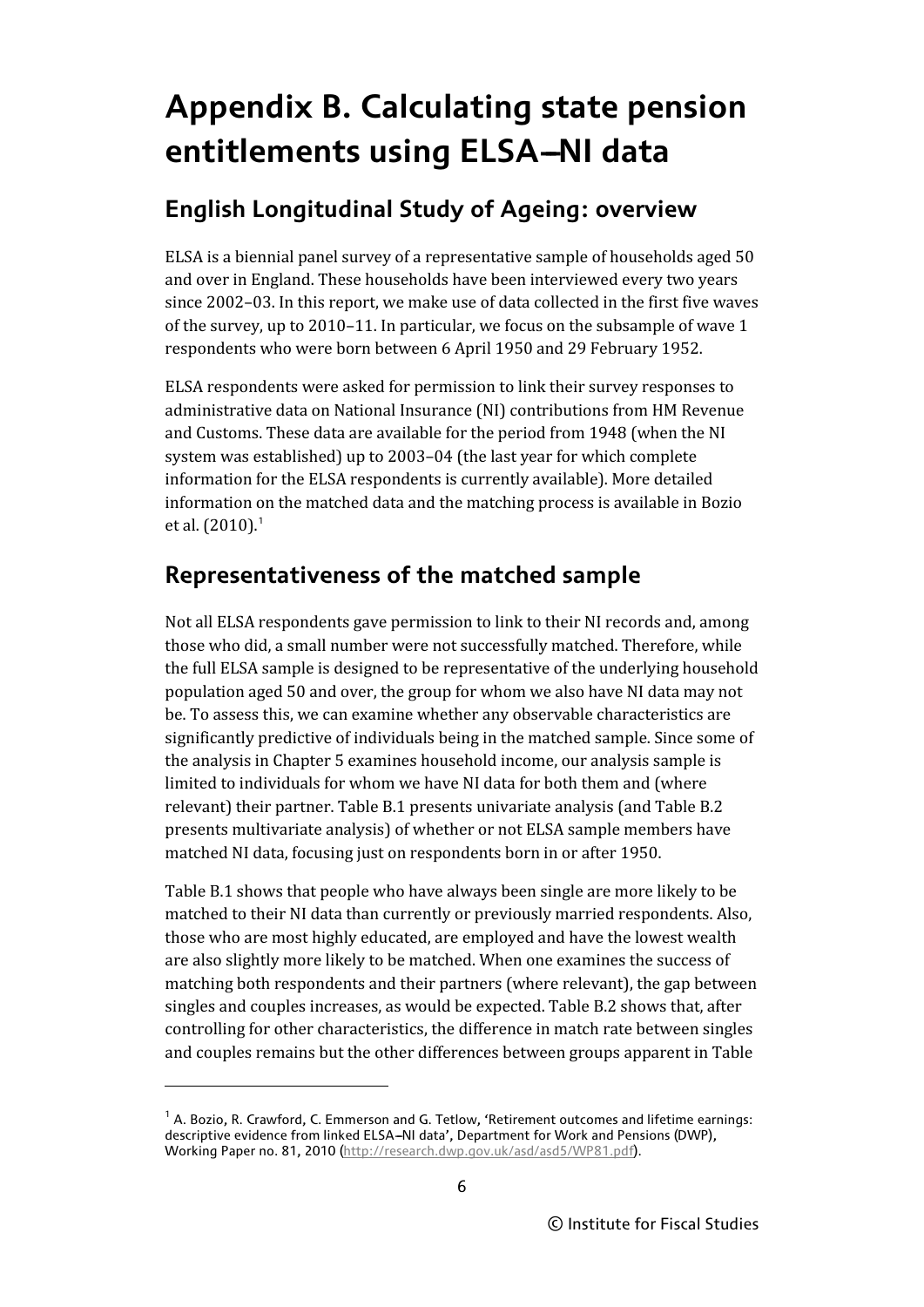# **Appendix B. Calculating state pension entitlements using ELSA-NI data**

# **English Longitudinal Study of Ageing: overview**

ELSA is a biennial panel survey of a representative sample of households aged 50 and over in England. These households have been interviewed every two years since 2002–03. In this report, we make use of data collected in the first five waves of the survey, up to 2010–11. In particular, we focus on the subsample of wave 1 respondents who were born between 6 April 1950 and 29 February 1952.

ELSA respondents were asked for permission to link their survey responses to administrative data on National Insurance (NI) contributions from HM Revenue and Customs. These data are available for the period from 1948 (when the NI system was established) up to 2003–04 (the last year for which complete information for the ELSA respondents is currently available). More detailed information on the matched data and the matching process is available in Bozio et al. (20[1](#page-5-0)0).<sup>1</sup>

# **Representativeness of the matched sample**

Not all ELSA respondents gave permission to link to their NI records and, among those who did, a small number were not successfully matched. Therefore, while the full ELSA sample is designed to be representative of the underlying household population aged 50 and over, the group for whom we also have NI data may not be. To assess this, we can examine whether any observable characteristics are significantly predictive of individuals being in the matched sample. Since some of the analysis in Chapter 5 examines household income, our analysis sample is limited to individuals for whom we have NI data for both them and (where relevant) their partner. Table B.1 presents univariate analysis (and Table B.2 presents multivariate analysis) of whether or not ELSA sample members have matched NI data, focusing just on respondents born in or after 1950.

Table B.1 shows that people who have always been single are more likely to be matched to their NI data than currently or previously married respondents. Also, those who are most highly educated, are employed and have the lowest wealth are also slightly more likely to be matched. When one examines the success of matching both respondents and their partners (where relevant), the gap between singles and couples increases, as would be expected. Table B.2 shows that, after controlling for other characteristics, the difference in match rate between singles and couples remains but the other differences between groups apparent in Table

l

<span id="page-5-0"></span> $<sup>1</sup>$  A. Bozio, R. Crawford, C. Emmerson and G. Tetlow, 'Retirement outcomes and lifetime earnings:</sup> descriptive evidence from linked ELSA-NI data', Department for Work and Pensions (DWP), Working Paper no. 81, 2010 [\(http://research.dwp.gov.uk/asd/asd5/WP81.pdf\)](http://research.dwp.gov.uk/asd/asd5/WP81.pdf).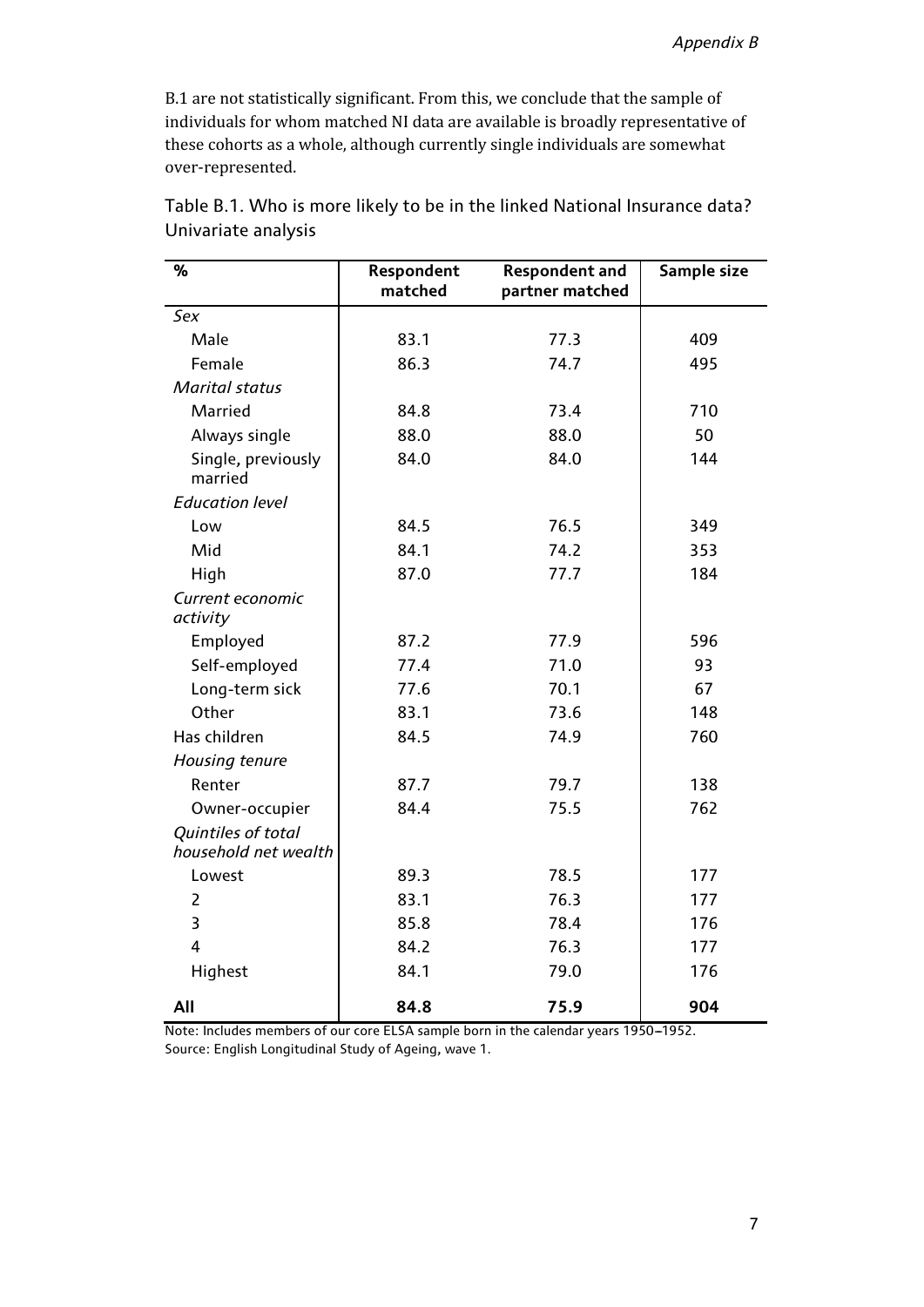B.1 are not statistically significant. From this, we conclude that the sample of individuals for whom matched NI data are available is broadly representative of these cohorts as a whole, although currently single individuals are somewhat over-represented.

| %                                          | Respondent<br>matched | <b>Respondent and</b><br>partner matched | Sample size |
|--------------------------------------------|-----------------------|------------------------------------------|-------------|
| Sex                                        |                       |                                          |             |
| Male                                       | 83.1                  | 77.3                                     | 409         |
| Female                                     | 86.3                  | 74.7                                     | 495         |
| <b>Marital status</b>                      |                       |                                          |             |
| Married                                    | 84.8                  | 73.4                                     | 710         |
| Always single                              | 88.0                  | 88.0                                     | 50          |
| Single, previously<br>married              | 84.0                  | 84.0                                     | 144         |
| <b>Education level</b>                     |                       |                                          |             |
| Low                                        | 84.5                  | 76.5                                     | 349         |
| Mid                                        | 84.1                  | 74.2                                     | 353         |
| High                                       | 87.0                  | 77.7                                     | 184         |
| Current economic<br>activity               |                       |                                          |             |
| Employed                                   | 87.2                  | 77.9                                     | 596         |
| Self-employed                              | 77.4                  | 71.0                                     | 93          |
| Long-term sick                             | 77.6                  | 70.1                                     | 67          |
| Other                                      | 83.1                  | 73.6                                     | 148         |
| Has children                               | 84.5                  | 74.9                                     | 760         |
| Housing tenure                             |                       |                                          |             |
| Renter                                     | 87.7                  | 79.7                                     | 138         |
| Owner-occupier                             | 84.4                  | 75.5                                     | 762         |
| Quintiles of total<br>household net wealth |                       |                                          |             |
| Lowest                                     | 89.3                  | 78.5                                     | 177         |
| $\overline{2}$                             | 83.1                  | 76.3                                     | 177         |
| $\overline{\mathbf{3}}$                    | 85.8                  | 78.4                                     | 176         |
| $\overline{4}$                             | 84.2                  | 76.3                                     | 177         |
| Highest                                    | 84.1                  | 79.0                                     | 176         |
| All                                        | 84.8                  | 75.9                                     | 904         |

Table B.1. Who is more likely to be in the linked National Insurance data? Univariate analysis

Note: Includes members of our core ELSA sample born in the calendar years 1950-1952. Source: English Longitudinal Study of Ageing, wave 1.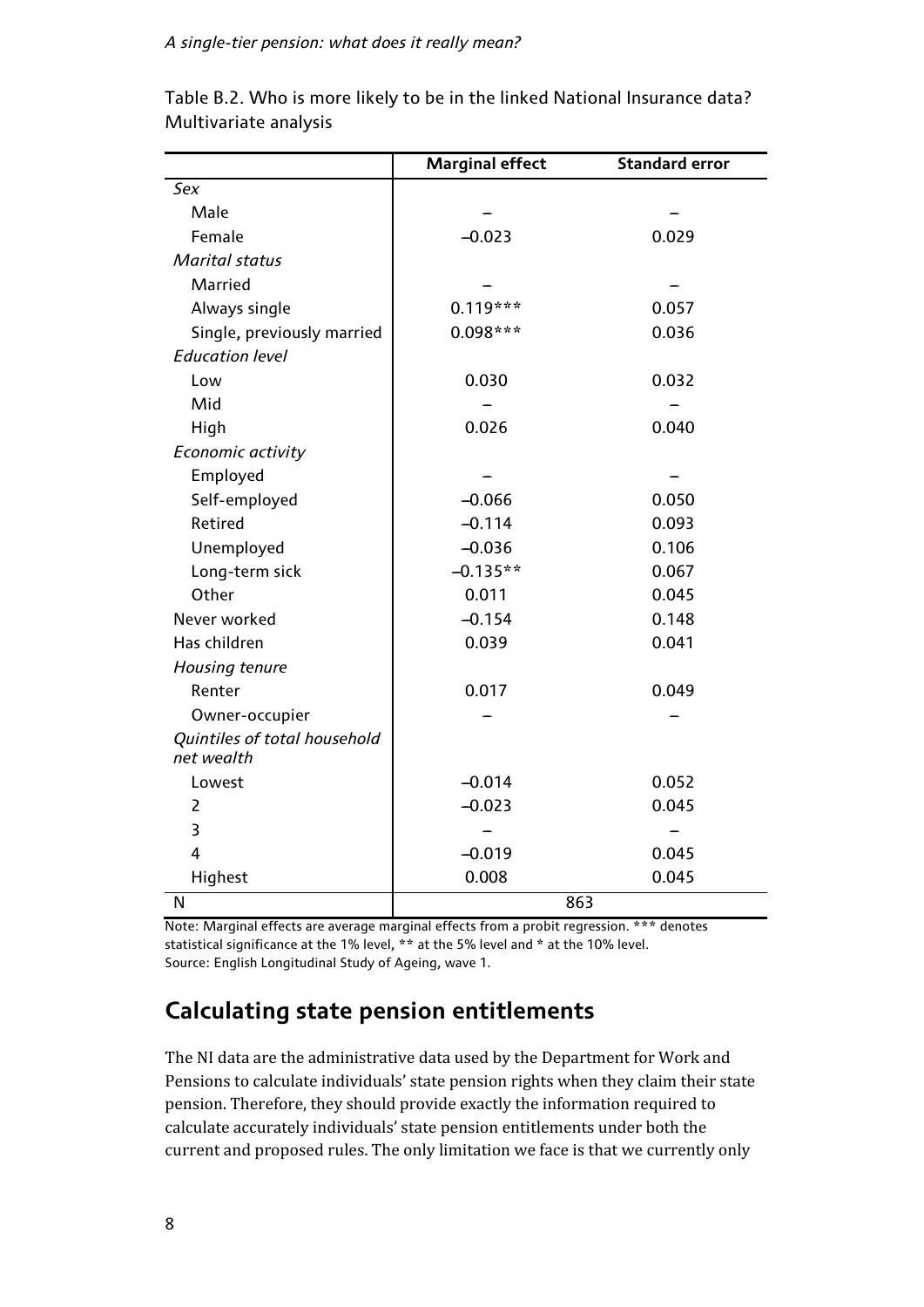#### *A single-tier pension: what does it really mean?*

|                                            | <b>Marginal effect</b> | <b>Standard error</b> |  |
|--------------------------------------------|------------------------|-----------------------|--|
| Sex                                        |                        |                       |  |
| Male                                       |                        |                       |  |
| Female                                     | $-0.023$               | 0.029                 |  |
| <b>Marital status</b>                      |                        |                       |  |
| Married                                    |                        |                       |  |
| Always single                              | $0.119***$             | 0.057                 |  |
| Single, previously married                 | 0.098***               | 0.036                 |  |
| <b>Education level</b>                     |                        |                       |  |
| Low                                        | 0.030                  | 0.032                 |  |
| Mid                                        |                        |                       |  |
| High                                       | 0.026                  | 0.040                 |  |
| Economic activity                          |                        |                       |  |
| Employed                                   |                        |                       |  |
| Self-employed                              | $-0.066$               | 0.050                 |  |
| Retired                                    | $-0.114$               | 0.093                 |  |
| Unemployed                                 | $-0.036$               | 0.106                 |  |
| Long-term sick                             | $-0.135**$             | 0.067                 |  |
| Other                                      | 0.011                  | 0.045                 |  |
| Never worked                               | $-0.154$               | 0.148                 |  |
| Has children                               | 0.039                  | 0.041                 |  |
| Housing tenure                             |                        |                       |  |
| Renter                                     | 0.017                  | 0.049                 |  |
| Owner-occupier                             |                        |                       |  |
| Quintiles of total household<br>net wealth |                        |                       |  |
| Lowest                                     | $-0.014$               | 0.052                 |  |
| $\overline{2}$                             | $-0.023$               | 0.045                 |  |
| 3                                          |                        |                       |  |
| 4                                          | $-0.019$               | 0.045                 |  |
| Highest                                    | 0.008                  | 0.045                 |  |
| N                                          | 863                    |                       |  |

Table B.2. Who is more likely to be in the linked National Insurance data? Multivariate analysis

Note: Marginal effects are average marginal effects from a probit regression. \*\*\* denotes statistical significance at the 1% level, \*\* at the 5% level and \* at the 10% level. Source: English Longitudinal Study of Ageing, wave 1.

# **Calculating state pension entitlements**

The NI data are the administrative data used by the Department for Work and Pensions to calculate individuals' state pension rights when they claim their state pension. Therefore, they should provide exactly the information required to calculate accurately individuals' state pension entitlements under both the current and proposed rules. The only limitation we face is that we currently only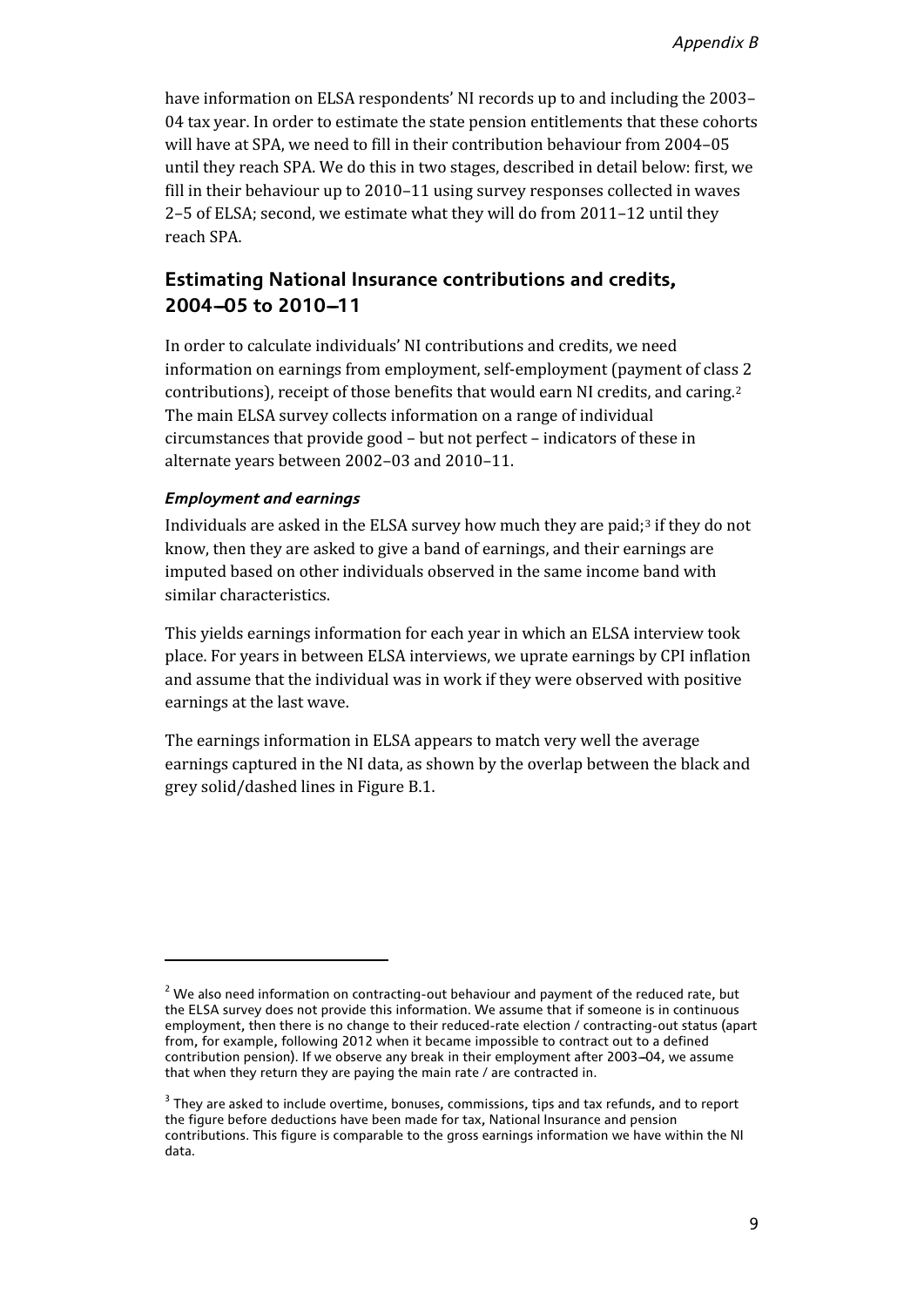have information on ELSA respondents' NI records up to and including the 2003– 04 tax year. In order to estimate the state pension entitlements that these cohorts will have at SPA, we need to fill in their contribution behaviour from 2004–05 until they reach SPA. We do this in two stages, described in detail below: first, we fill in their behaviour up to 2010–11 using survey responses collected in waves 2–5 of ELSA; second, we estimate what they will do from 2011–12 until they reach SPA.

### **Estimating National Insurance contributions and credits,** 2004-05 to 2010-11

In order to calculate individuals' NI contributions and credits, we need information on earnings from employment, self-employment (payment of class 2 contributions), receipt of those benefits that would earn NI credits, and caring.[2](#page-8-0) The main ELSA survey collects information on a range of individual circumstances that provide good – but not perfect – indicators of these in alternate years between 2002–03 and 2010–11.

#### *Employment and earnings*

l

Individuals are asked in the ELSA survey how much they are paid;[3](#page-8-1) if they do not know, then they are asked to give a band of earnings, and their earnings are imputed based on other individuals observed in the same income band with similar characteristics.

This yields earnings information for each year in which an ELSA interview took place. For years in between ELSA interviews, we uprate earnings by CPI inflation and assume that the individual was in work if they were observed with positive earnings at the last wave.

The earnings information in ELSA appears to match very well the average earnings captured in the NI data, as shown by the overlap between the black and grey solid/dashed lines in Figure B.1.

<span id="page-8-0"></span> $2$  We also need information on contracting-out behaviour and payment of the reduced rate, but the ELSA survey does not provide this information. We assume that if someone is in continuous employment, then there is no change to their reduced-rate election / contracting-out status (apart from, for example, following 2012 when it became impossible to contract out to a defined contribution pension). If we observe any break in their employment after 2003-04, we assume that when they return they are paying the main rate / are contracted in.

<span id="page-8-1"></span><sup>&</sup>lt;sup>3</sup> They are asked to include overtime, bonuses, commissions, tips and tax refunds, and to report the figure before deductions have been made for tax, National Insurance and pension contributions. This figure is comparable to the gross earnings information we have within the NI data.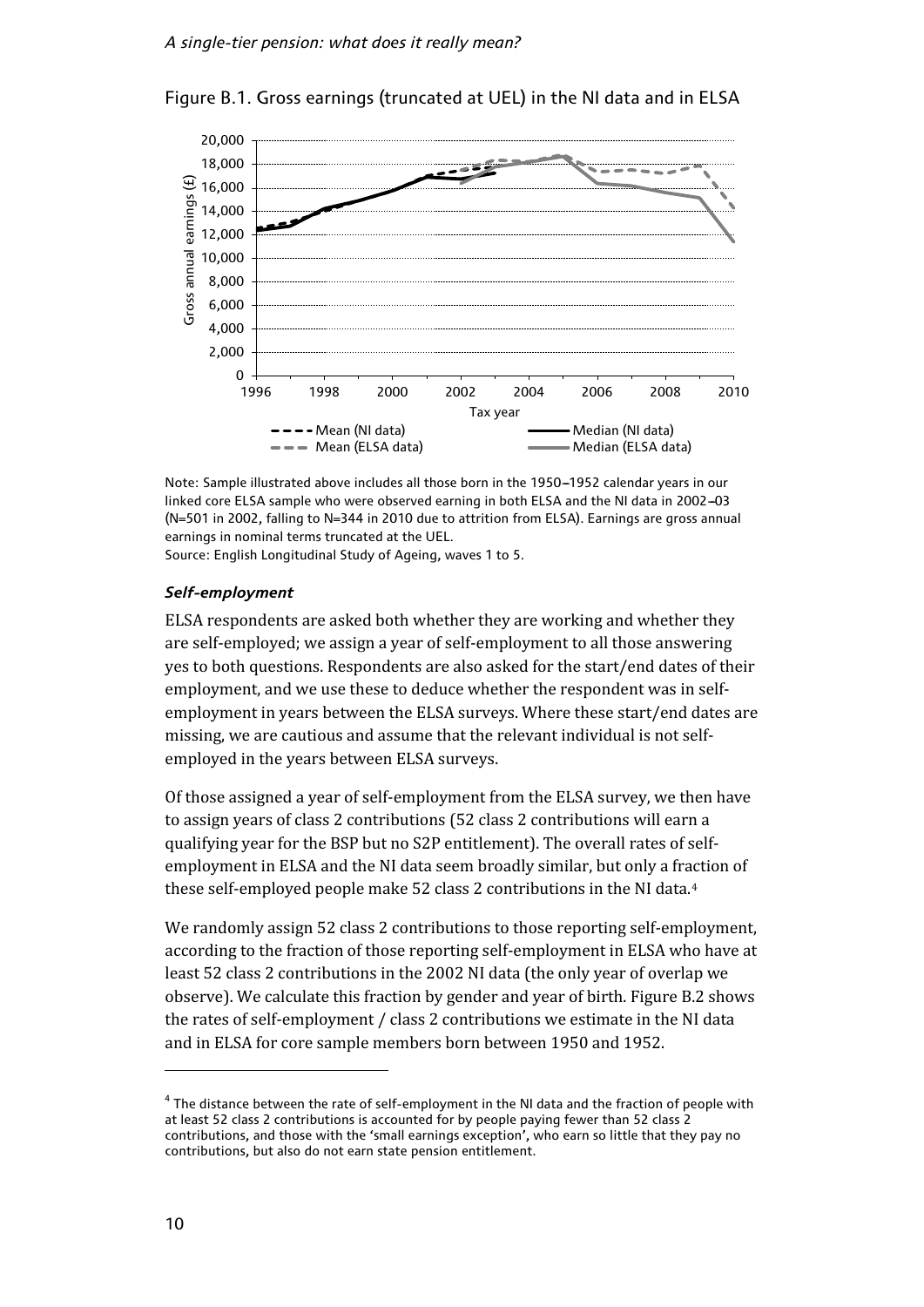

Figure B.1. Gross earnings (truncated at UEL) in the NI data and in ELSA

Note: Sample illustrated above includes all those born in the 1950-1952 calendar years in our linked core ELSA sample who were observed earning in both ELSA and the NI data in 2002-03 (N=501 in 2002, falling to N=344 in 2010 due to attrition from ELSA). Earnings are gross annual earnings in nominal terms truncated at the UEL.

Source: English Longitudinal Study of Ageing, waves 1 to 5.

#### *Self-employment*

ELSA respondents are asked both whether they are working and whether they are self-employed; we assign a year of self-employment to all those answering yes to both questions. Respondents are also asked for the start/end dates of their employment, and we use these to deduce whether the respondent was in selfemployment in years between the ELSA surveys. Where these start/end dates are missing, we are cautious and assume that the relevant individual is not selfemployed in the years between ELSA surveys.

Of those assigned a year of self-employment from the ELSA survey, we then have to assign years of class 2 contributions (52 class 2 contributions will earn a qualifying year for the BSP but no S2P entitlement). The overall rates of selfemployment in ELSA and the NI data seem broadly similar, but only a fraction of these self-employed people make 52 class 2 contributions in the NI data.[4](#page-9-0)

We randomly assign 52 class 2 contributions to those reporting self-employment, according to the fraction of those reporting self-employment in ELSA who have at least 52 class 2 contributions in the 2002 NI data (the only year of overlap we observe). We calculate this fraction by gender and year of birth. Figure B.2 shows the rates of self-employment / class 2 contributions we estimate in the NI data and in ELSA for core sample members born between 1950 and 1952.

 $\overline{\phantom{a}}$ 

<span id="page-9-0"></span><sup>4</sup> The distance between the rate of self-employment in the NI data and the fraction of people with at least 52 class 2 contributions is accounted for by people paying fewer than 52 class 2 contributions, and those with the 'small earnings exception', who earn so little that they pay no contributions, but also do not earn state pension entitlement.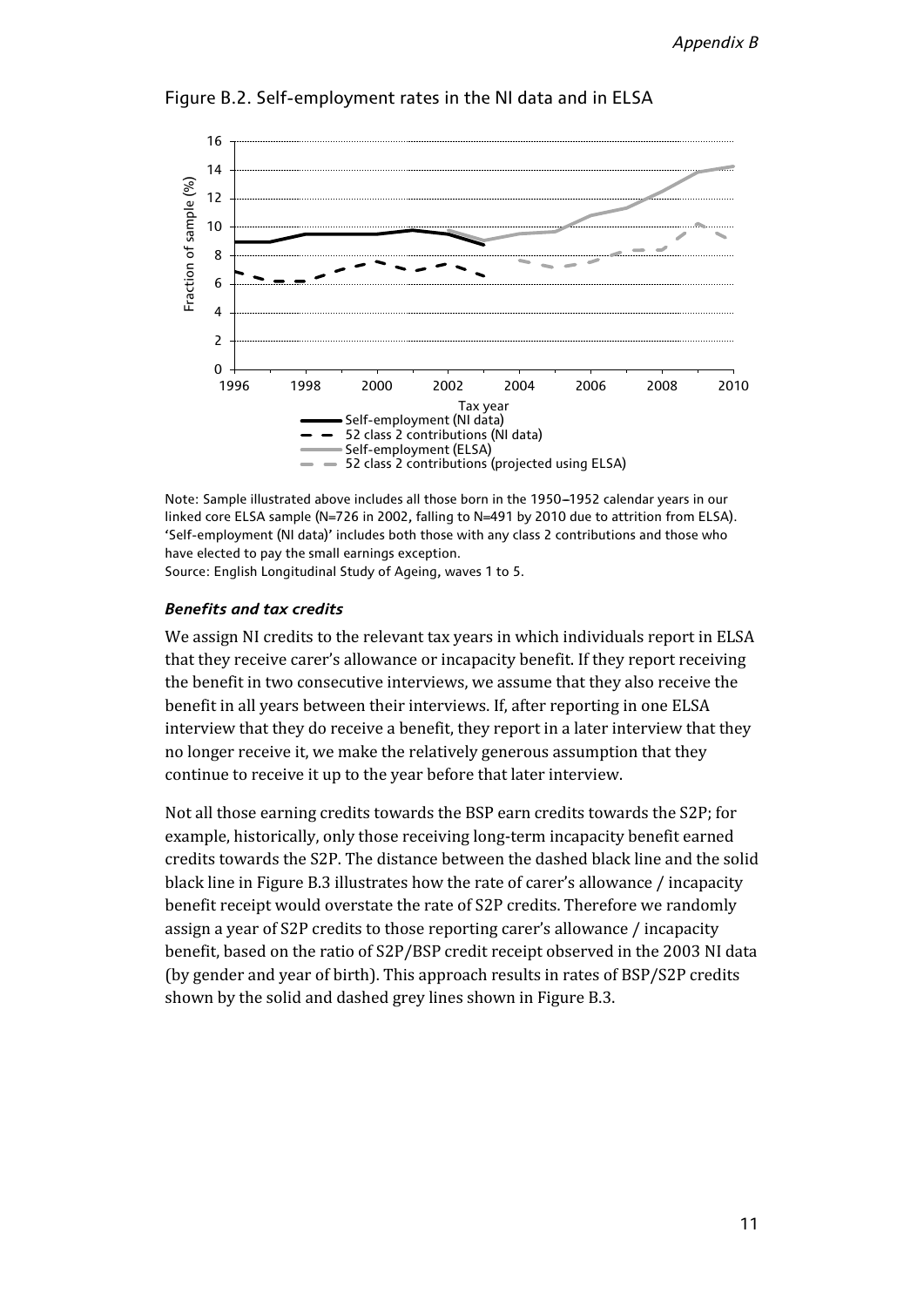

Figure B.2. Self-employment rates in the NI data and in ELSA

Note: Sample illustrated above includes all those born in the 1950-1952 calendar years in our linked core ELSA sample (N=726 in 2002, falling to N=491 by 2010 due to attrition from ELSA). 'Self-employment (NI data)' includes both those with any class 2 contributions and those who have elected to pay the small earnings exception.

Source: English Longitudinal Study of Ageing, waves 1 to 5.

#### *Benefits and tax credits*

We assign NI credits to the relevant tax years in which individuals report in ELSA that they receive carer's allowance or incapacity benefit. If they report receiving the benefit in two consecutive interviews, we assume that they also receive the benefit in all years between their interviews. If, after reporting in one ELSA interview that they do receive a benefit, they report in a later interview that they no longer receive it, we make the relatively generous assumption that they continue to receive it up to the year before that later interview.

Not all those earning credits towards the BSP earn credits towards the S2P; for example, historically, only those receiving long-term incapacity benefit earned credits towards the S2P. The distance between the dashed black line and the solid black line in Figure B.3 illustrates how the rate of carer's allowance / incapacity benefit receipt would overstate the rate of S2P credits. Therefore we randomly assign a year of S2P credits to those reporting carer's allowance / incapacity benefit, based on the ratio of S2P/BSP credit receipt observed in the 2003 NI data (by gender and year of birth). This approach results in rates of BSP/S2P credits shown by the solid and dashed grey lines shown in Figure B.3.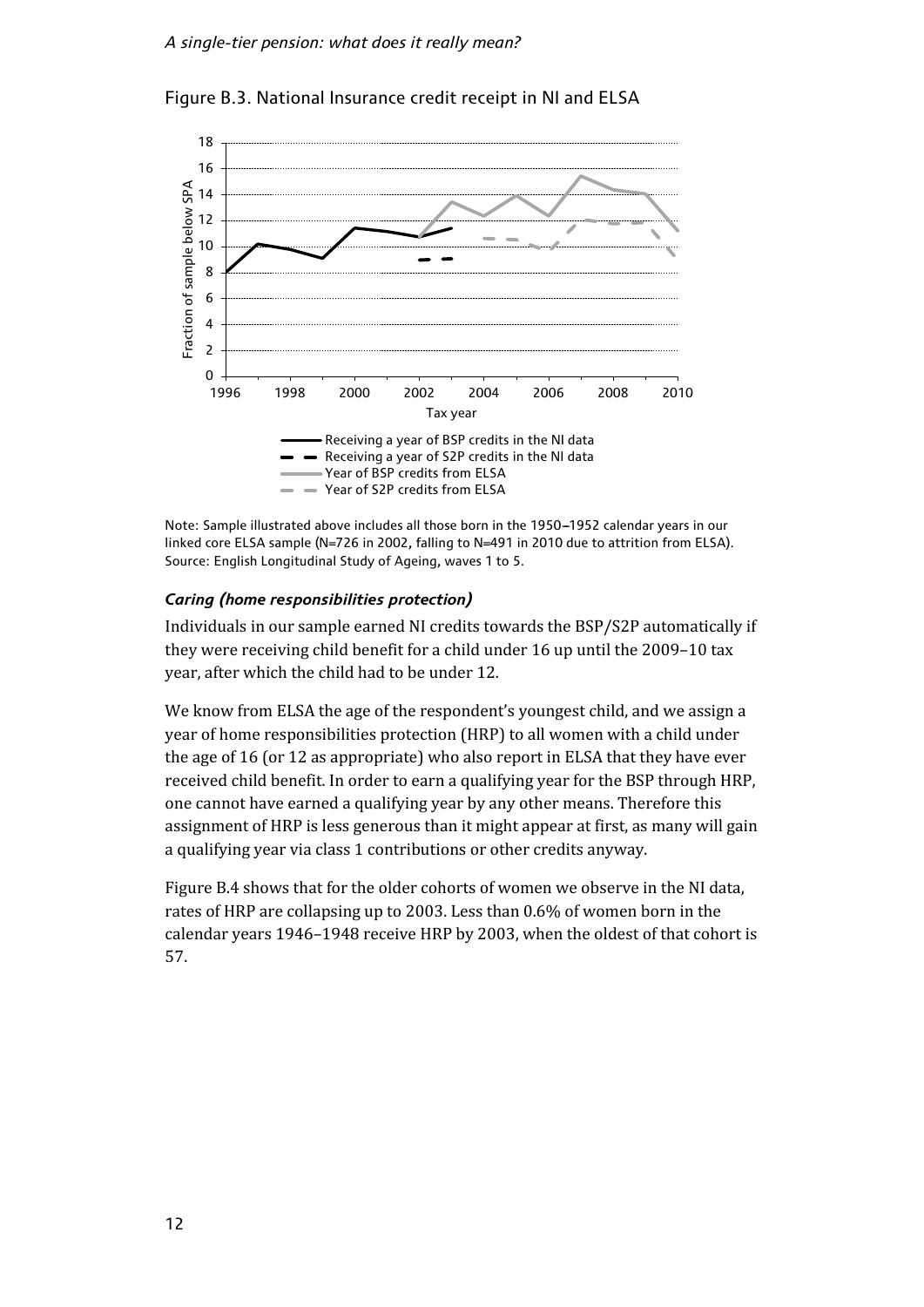

Figure B.3. National Insurance credit receipt in NI and ELSA

Note: Sample illustrated above includes all those born in the 1950-1952 calendar years in our linked core ELSA sample (N=726 in 2002, falling to N=491 in 2010 due to attrition from ELSA). Source: English Longitudinal Study of Ageing, waves 1 to 5.

### *Caring (home responsibilities protection)*

Individuals in our sample earned NI credits towards the BSP/S2P automatically if they were receiving child benefit for a child under 16 up until the 2009–10 tax year, after which the child had to be under 12.

We know from ELSA the age of the respondent's youngest child, and we assign a year of home responsibilities protection (HRP) to all women with a child under the age of 16 (or 12 as appropriate) who also report in ELSA that they have ever received child benefit. In order to earn a qualifying year for the BSP through HRP, one cannot have earned a qualifying year by any other means. Therefore this assignment of HRP is less generous than it might appear at first, as many will gain a qualifying year via class 1 contributions or other credits anyway.

Figure B.4 shows that for the older cohorts of women we observe in the NI data, rates of HRP are collapsing up to 2003. Less than 0.6% of women born in the calendar years 1946–1948 receive HRP by 2003, when the oldest of that cohort is 57.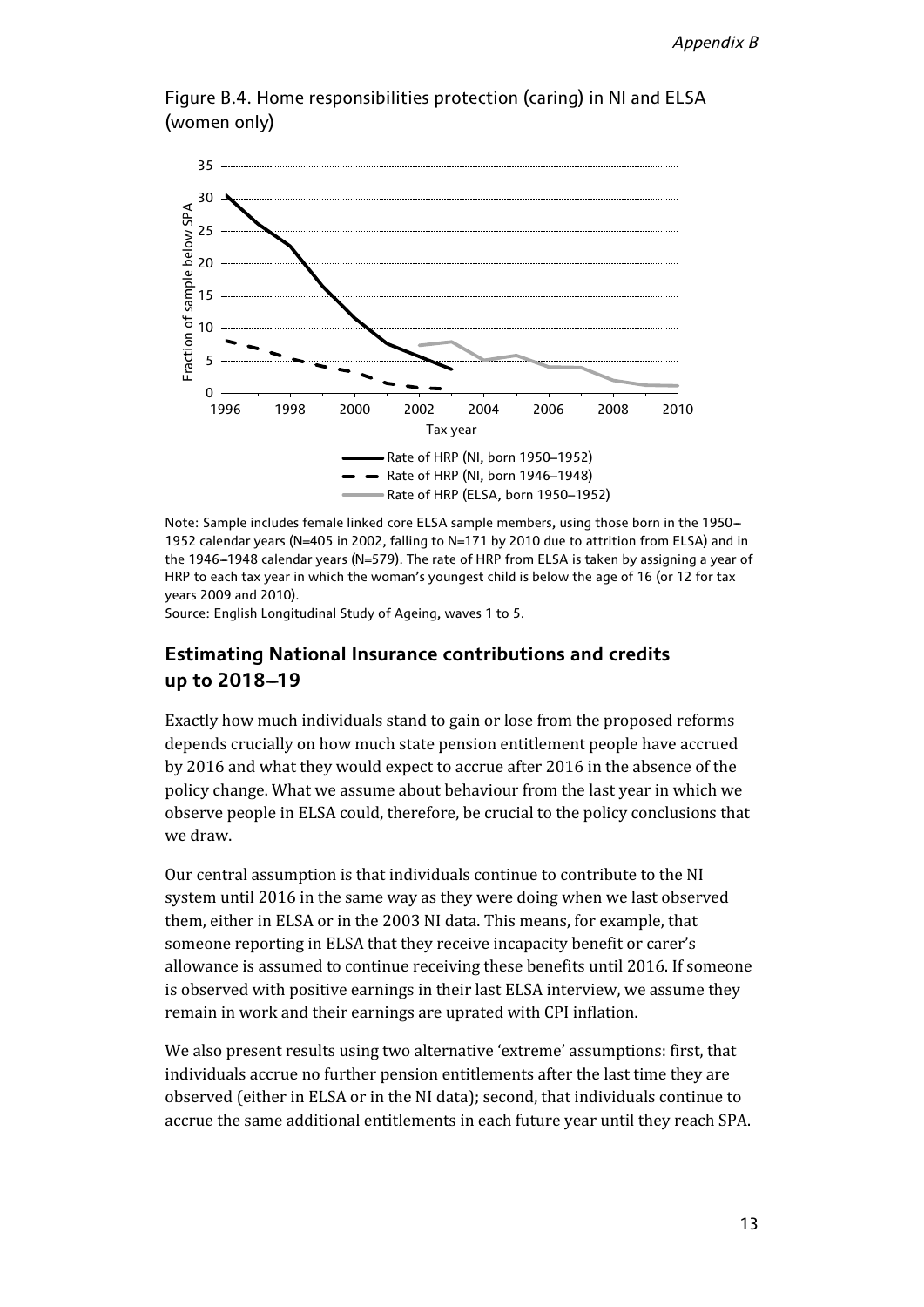

Figure B.4. Home responsibilities protection (caring) in NI and ELSA (women only)

Note: Sample includes female linked core ELSA sample members, using those born in the 1950--1952 calendar years (N=405 in 2002, falling to N=171 by 2010 due to attrition from ELSA) and in the 1946-1948 calendar years (N=579). The rate of HRP from ELSA is taken by assigning a year of HRP to each tax year in which the woman's youngest child is below the age of 16 (or 12 for tax years 2009 and 2010).

Source: English Longitudinal Study of Ageing, waves 1 to 5.

### **Estimating National Insurance contributions and credits**  up to 2018-19

Exactly how much individuals stand to gain or lose from the proposed reforms depends crucially on how much state pension entitlement people have accrued by 2016 and what they would expect to accrue after 2016 in the absence of the policy change. What we assume about behaviour from the last year in which we observe people in ELSA could, therefore, be crucial to the policy conclusions that we draw.

Our central assumption is that individuals continue to contribute to the NI system until 2016 in the same way as they were doing when we last observed them, either in ELSA or in the 2003 NI data. This means, for example, that someone reporting in ELSA that they receive incapacity benefit or carer's allowance is assumed to continue receiving these benefits until 2016. If someone is observed with positive earnings in their last ELSA interview, we assume they remain in work and their earnings are uprated with CPI inflation.

We also present results using two alternative 'extreme' assumptions: first, that individuals accrue no further pension entitlements after the last time they are observed (either in ELSA or in the NI data); second, that individuals continue to accrue the same additional entitlements in each future year until they reach SPA.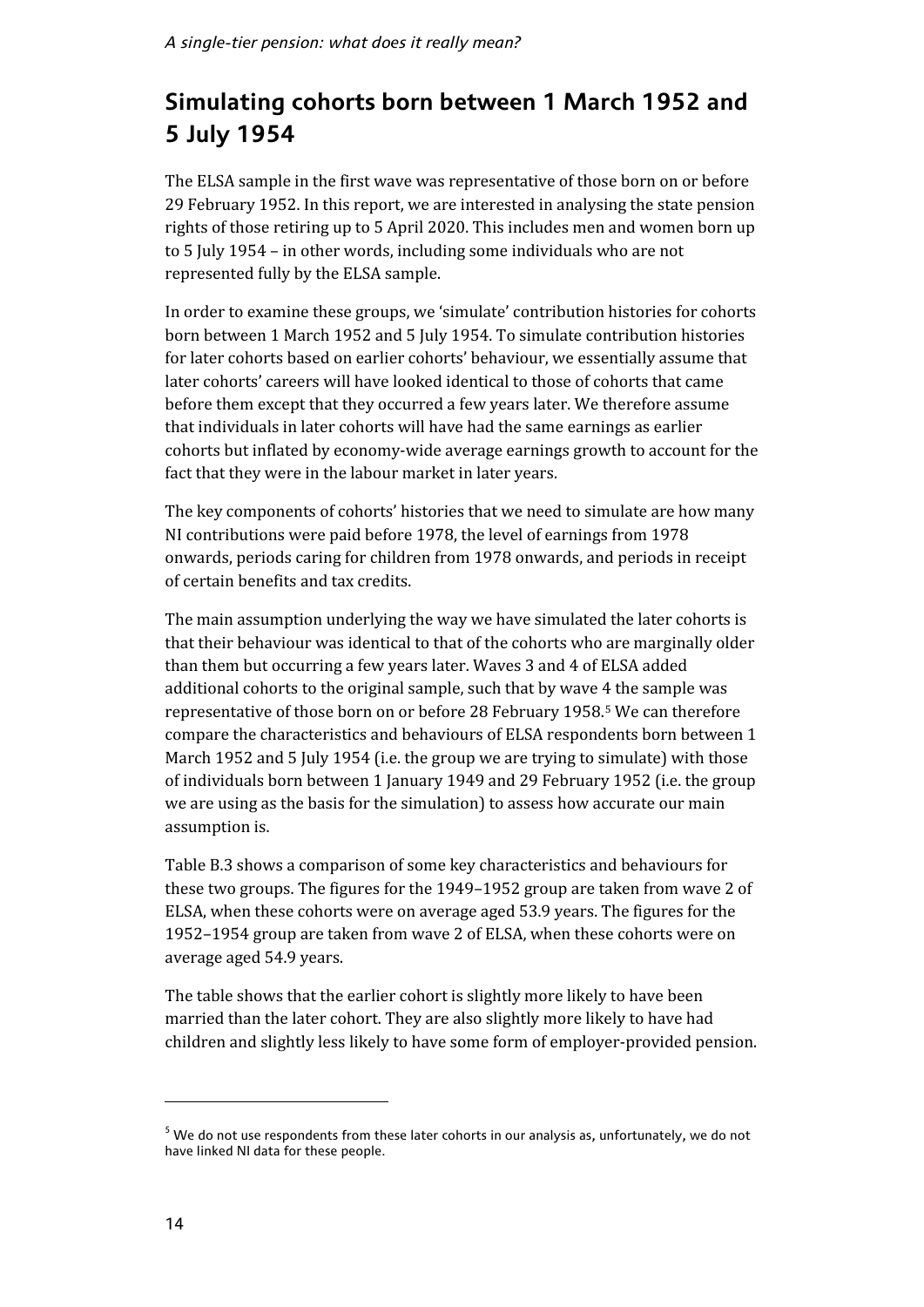# **Simulating cohorts born between 1 March 1952 and 5 July 1954**

The ELSA sample in the first wave was representative of those born on or before 29 February 1952. In this report, we are interested in analysing the state pension rights of those retiring up to 5 April 2020. This includes men and women born up to 5 July 1954 – in other words, including some individuals who are not represented fully by the ELSA sample.

In order to examine these groups, we 'simulate' contribution histories for cohorts born between 1 March 1952 and 5 July 1954. To simulate contribution histories for later cohorts based on earlier cohorts' behaviour, we essentially assume that later cohorts' careers will have looked identical to those of cohorts that came before them except that they occurred a few years later. We therefore assume that individuals in later cohorts will have had the same earnings as earlier cohorts but inflated by economy-wide average earnings growth to account for the fact that they were in the labour market in later years.

The key components of cohorts' histories that we need to simulate are how many NI contributions were paid before 1978, the level of earnings from 1978 onwards, periods caring for children from 1978 onwards, and periods in receipt of certain benefits and tax credits.

The main assumption underlying the way we have simulated the later cohorts is that their behaviour was identical to that of the cohorts who are marginally older than them but occurring a few years later. Waves 3 and 4 of ELSA added additional cohorts to the original sample, such that by wave 4 the sample was representative of those born on or before 28 February 1958.[5](#page-13-0) We can therefore compare the characteristics and behaviours of ELSA respondents born between 1 March 1952 and 5 July 1954 (i.e. the group we are trying to simulate) with those of individuals born between 1 January 1949 and 29 February 1952 (i.e. the group we are using as the basis for the simulation) to assess how accurate our main assumption is.

Table B.3 shows a comparison of some key characteristics and behaviours for these two groups. The figures for the 1949–1952 group are taken from wave 2 of ELSA, when these cohorts were on average aged 53.9 years. The figures for the 1952–1954 group are taken from wave 2 of ELSA, when these cohorts were on average aged 54.9 years.

The table shows that the earlier cohort is slightly more likely to have been married than the later cohort. They are also slightly more likely to have had children and slightly less likely to have some form of employer-provided pension.

 $\overline{\phantom{a}}$ 

<span id="page-13-0"></span> $5$  We do not use respondents from these later cohorts in our analysis as, unfortunately, we do not have linked NI data for these people.